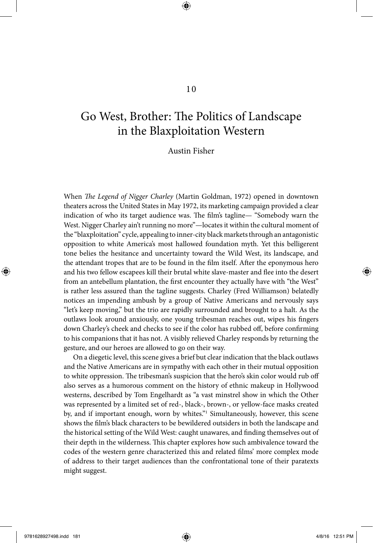# Go West, Brother: The Politics of Landscape in the Blaxploitation Western

Austin Fisher

When *The Legend of Nigger Charley* (Martin Goldman, 1972) opened in downtown theaters across the United States in May 1972, its marketing campaign provided a clear indication of who its target audience was. The film's tagline— "Somebody warn the West. Nigger Charley ain't running no more"—locates it within the cultural moment of the "blaxploitation" cycle, appealing to inner-city black markets through an antagonistic opposition to white America's most hallowed foundation myth. Yet this belligerent tone belies the hesitance and uncertainty toward the Wild West, its landscape, and the attendant tropes that are to be found in the film itself. After the eponymous hero and his two fellow escapees kill their brutal white slave-master and flee into the desert from an antebellum plantation, the first encounter they actually have with "the West" is rather less assured than the tagline suggests. Charley (Fred Williamson) belatedly notices an impending ambush by a group of Native Americans and nervously says "let's keep moving," but the trio are rapidly surrounded and brought to a halt. As the outlaws look around anxiously, one young tribesman reaches out, wipes his fingers down Charley's cheek and checks to see if the color has rubbed off, before confirming to his companions that it has not. A visibly relieved Charley responds by returning the gesture, and our heroes are allowed to go on their way.

On a diegetic level, this scene gives a brief but clear indication that the black outlaws and the Native Americans are in sympathy with each other in their mutual opposition to white oppression. The tribesman's suspicion that the hero's skin color would rub off also serves as a humorous comment on the history of ethnic makeup in Hollywood westerns, described by Tom Engelhardt as "a vast minstrel show in which the Other was represented by a limited set of red-, black-, brown-, or yellow-face masks created by, and if important enough, worn by whites."1 Simultaneously, however, this scene shows the film's black characters to be bewildered outsiders in both the landscape and the historical setting of the Wild West: caught unawares, and finding themselves out of their depth in the wilderness. This chapter explores how such ambivalence toward the codes of the western genre characterized this and related films' more complex mode of address to their target audiences than the confrontational tone of their paratexts might suggest.

⊕

⊕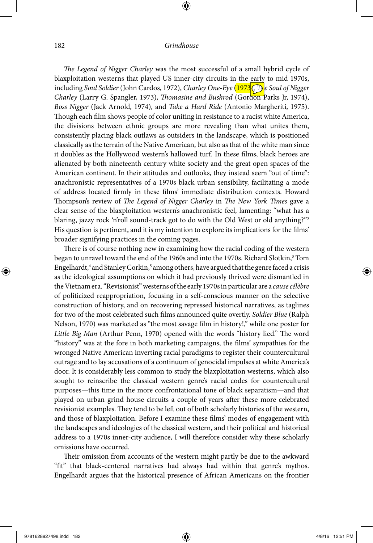⊕

*The Legend of Nigger Charley* was the most successful of a small hybrid cycle of blaxploitation westerns that played US inner-city circuits in the early to mid 1970s, including *Soul Soldier* (John Cardos, 1972), *Charley One-Eye* (1973 *(T) e Soul of Nigger Charley* (Larry G. Spangler, 1973), *Thomasine and Bushrod* (Gordon Parks Jr, 1974), *Boss Nigger* (Jack Arnold, 1974), and *Take a Hard Ride* (Antonio Margheriti, 1975). Though each film shows people of color uniting in resistance to a racist white America, the divisions between ethnic groups are more revealing than what unites them, consistently placing black outlaws as outsiders in the landscape, which is positioned classically as the terrain of the Native American, but also as that of the white man since it doubles as the Hollywood western's hallowed turf. In these films, black heroes are alienated by both nineteenth century white society and the great open spaces of the American continent. In their attitudes and outlooks, they instead seem "out of time": anachronistic representatives of a 1970s black urban sensibility, facilitating a mode of address located firmly in these films' immediate distribution contexts. Howard Thompson's review of *The Legend of Nigger Charley* in *The New York Times* gave a clear sense of the blaxploitation western's anachronistic feel, lamenting: "what has a blaring, jazzy rock 'n'roll sound-track got to do with the Old West or old anything?"2 His question is pertinent, and it is my intention to explore its implications for the films' broader signifying practices in the coming pages.

There is of course nothing new in examining how the racial coding of the western began to unravel toward the end of the 1960s and into the 1970s. Richard Slotkin,<sup>3</sup> Tom Engelhardt,<sup>4</sup> and Stanley Corkin,<sup>5</sup> among others, have argued that the genre faced a crisis as the ideological assumptions on which it had previously thrived were dismantled in the Vietnam era. "Revisionist" westerns of the early 1970s in particular are a *cause célèbre* of politicized reappropriation, focusing in a self-conscious manner on the selective construction of history, and on recovering repressed historical narratives, as taglines for two of the most celebrated such films announced quite overtly. *Soldier Blue* (Ralph Nelson, 1970) was marketed as "the most savage film in history!," while one poster for *Little Big Man* (Arthur Penn, 1970) opened with the words "history lied." The word "history" was at the fore in both marketing campaigns, the films' sympathies for the wronged Native American inverting racial paradigms to register their countercultural outrage and to lay accusations of a continuum of genocidal impulses at white America's door. It is considerably less common to study the blaxploitation westerns, which also sought to reinscribe the classical western genre's racial codes for countercultural purposes—this time in the more confrontational tone of black separatism—and that played on urban grind house circuits a couple of years after these more celebrated revisionist examples. They tend to be left out of both scholarly histories of the western, and those of blaxploitation. Before I examine these films' modes of engagement with the landscapes and ideologies of the classical western, and their political and historical address to a 1970s inner-city audience, I will therefore consider why these scholarly omissions have occurred.

Their omission from accounts of the western might partly be due to the awkward "fit" that black-centered narratives had always had within that genre's mythos. Engelhardt argues that the historical presence of African Americans on the frontier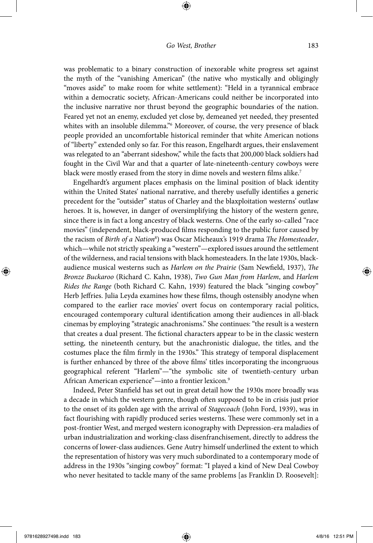⊕

was problematic to a binary construction of inexorable white progress set against the myth of the "vanishing American" (the native who mystically and obligingly "moves aside" to make room for white settlement): "Held in a tyrannical embrace within a democratic society, African-Americans could neither be incorporated into the inclusive narrative nor thrust beyond the geographic boundaries of the nation. Feared yet not an enemy, excluded yet close by, demeaned yet needed, they presented whites with an insoluble dilemma."6 Moreover, of course, the very presence of black people provided an uncomfortable historical reminder that white American notions of "liberty" extended only so far. For this reason, Engelhardt argues, their enslavement was relegated to an "aberrant sideshow," while the facts that 200,000 black soldiers had fought in the Civil War and that a quarter of late-nineteenth-century cowboys were black were mostly erased from the story in dime novels and western films alike.<sup>7</sup>

Engelhardt's argument places emphasis on the liminal position of black identity within the United States' national narrative, and thereby usefully identifies a generic precedent for the "outsider" status of Charley and the blaxploitation westerns' outlaw heroes. It is, however, in danger of oversimplifying the history of the western genre, since there is in fact a long ancestry of black westerns. One of the early so-called "race movies" (independent, black-produced films responding to the public furor caused by the racism of *Birth of a Nation*<sup>8</sup> ) was Oscar Micheaux's 1919 drama *The Homesteader*, which—while not strictly speaking a "western"—explored issues around the settlement of the wilderness, and racial tensions with black homesteaders. In the late 1930s, blackaudience musical westerns such as *Harlem on the Prairie* (Sam Newfield, 1937), *The Bronze Buckaroo* (Richard C. Kahn, 1938), *Two Gun Man from Harlem*, and *Harlem Rides the Range* (both Richard C. Kahn, 1939) featured the black "singing cowboy" Herb Jeffries. Julia Leyda examines how these films, though ostensibly anodyne when compared to the earlier race movies' overt focus on contemporary racial politics, encouraged contemporary cultural identification among their audiences in all-black cinemas by employing "strategic anachronisms." She continues: "the result is a western that creates a dual present. The fictional characters appear to be in the classic western setting, the nineteenth century, but the anachronistic dialogue, the titles, and the costumes place the film firmly in the 1930s." This strategy of temporal displacement is further enhanced by three of the above films' titles incorporating the incongruous geographical referent "Harlem"—"the symbolic site of twentieth-century urban African American experience"—into a frontier lexicon.9

Indeed, Peter Stanfield has set out in great detail how the 1930s more broadly was a decade in which the western genre, though often supposed to be in crisis just prior to the onset of its golden age with the arrival of *Stagecoach* (John Ford, 1939), was in fact flourishing with rapidly produced series westerns. These were commonly set in a post-frontier West, and merged western iconography with Depression-era maladies of urban industrialization and working-class disenfranchisement, directly to address the concerns of lower-class audiences. Gene Autry himself underlined the extent to which the representation of history was very much subordinated to a contemporary mode of address in the 1930s "singing cowboy" format: "I played a kind of New Deal Cowboy who never hesitated to tackle many of the same problems [as Franklin D. Roosevelt]:

 $\bigoplus$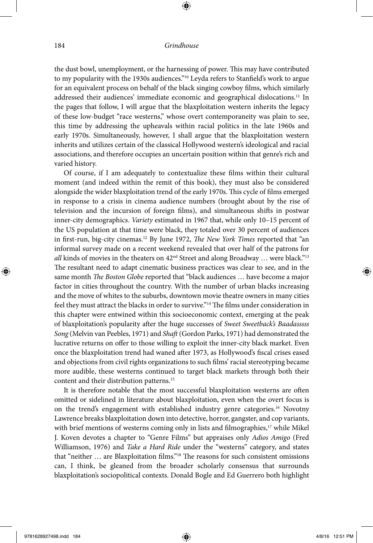⊕

the dust bowl, unemployment, or the harnessing of power. This may have contributed to my popularity with the 1930s audiences."10 Leyda refers to Stanfield's work to argue for an equivalent process on behalf of the black singing cowboy films, which similarly addressed their audiences' immediate economic and geographical dislocations.11 In the pages that follow, I will argue that the blaxploitation western inherits the legacy of these low-budget "race westerns," whose overt contemporaneity was plain to see, this time by addressing the upheavals within racial politics in the late 1960s and early 1970s. Simultaneously, however, I shall argue that the blaxploitation western inherits and utilizes certain of the classical Hollywood western's ideological and racial associations, and therefore occupies an uncertain position within that genre's rich and varied history.

Of course, if I am adequately to contextualize these films within their cultural moment (and indeed within the remit of this book), they must also be considered alongside the wider blaxploitation trend of the early 1970s. This cycle of films emerged in response to a crisis in cinema audience numbers (brought about by the rise of television and the incursion of foreign films), and simultaneous shifts in postwar inner-city demographics. *Variety* estimated in 1967 that, while only 10–15 percent of the US population at that time were black, they totaled over 30 percent of audiences in first-run, big-city cinemas.12 By June 1972, *The New York Times* reported that "an informal survey made on a recent weekend revealed that over half of the patrons for all kinds of movies in the theaters on  $42<sup>nd</sup>$  Street and along Broadway ... were black."<sup>13</sup> The resultant need to adapt cinematic business practices was clear to see, and in the same month *The Boston Globe* reported that "black audiences … have become a major factor in cities throughout the country. With the number of urban blacks increasing and the move of whites to the suburbs, downtown movie theatre owners in many cities feel they must attract the blacks in order to survive."14 The films under consideration in this chapter were entwined within this socioeconomic context, emerging at the peak of blaxploitation's popularity after the huge successes of *Sweet Sweetback's Baadasssss Song* (Melvin van Peebles, 1971) and *Shaft* (Gordon Parks, 1971) had demonstrated the lucrative returns on offer to those willing to exploit the inner-city black market. Even once the blaxploitation trend had waned after 1973, as Hollywood's fiscal crises eased and objections from civil rights organizations to such films' racial stereotyping became more audible, these westerns continued to target black markets through both their content and their distribution patterns.15

It is therefore notable that the most successful blaxploitation westerns are often omitted or sidelined in literature about blaxploitation, even when the overt focus is on the trend's engagement with established industry genre categories.<sup>16</sup> Novotny Lawrence breaks blaxploitation down into detective, horror, gangster, and cop variants, with brief mentions of westerns coming only in lists and filmographies, $17$  while Mikel J. Koven devotes a chapter to "Genre Films" but appraises only *Adios Amigo* (Fred Williamson, 1976) and *Take a Hard Ride* under the "westerns" category, and states that "neither … are Blaxploitation films."18 The reasons for such consistent omissions can, I think, be gleaned from the broader scholarly consensus that surrounds blaxploitation's sociopolitical contexts. Donald Bogle and Ed Guerrero both highlight

⊕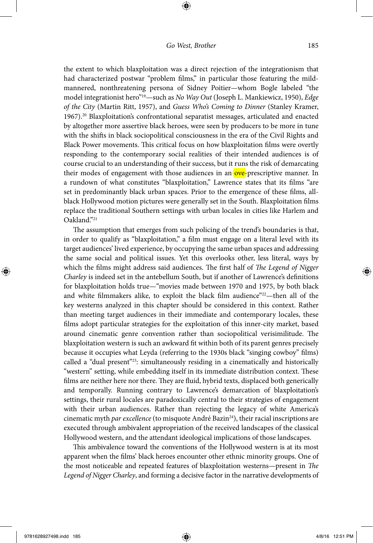⊕

the extent to which blaxploitation was a direct rejection of the integrationism that had characterized postwar "problem films," in particular those featuring the mildmannered, nonthreatening persona of Sidney Poitier—whom Bogle labeled "the model integrationist hero"19—such as *No Way Out* (Joseph L. Mankiewicz, 1950), *Edge of the City* (Martin Ritt, 1957), and *Guess Who's Coming to Dinner* (Stanley Kramer, 1967).20 Blaxploitation's confrontational separatist messages, articulated and enacted by altogether more assertive black heroes, were seen by producers to be more in tune with the shifts in black sociopolitical consciousness in the era of the Civil Rights and Black Power movements. This critical focus on how blaxploitation films were overtly responding to the contemporary social realities of their intended audiences is of course crucial to an understanding of their success, but it runs the risk of demarcating their modes of engagement with those audiences in an ove-prescriptive manner. In a rundown of what constitutes "blaxploitation," Lawrence states that its films "are set in predominantly black urban spaces. Prior to the emergence of these films, allblack Hollywood motion pictures were generally set in the South. Blaxploitation films replace the traditional Southern settings with urban locales in cities like Harlem and Oakland."21

The assumption that emerges from such policing of the trend's boundaries is that, in order to qualify as "blaxploitation," a film must engage on a literal level with its target audiences' lived experience, by occupying the same urban spaces and addressing the same social and political issues. Yet this overlooks other, less literal, ways by which the films might address said audiences. The first half of *The Legend of Nigger Charley* is indeed set in the antebellum South, but if another of Lawrence's definitions for blaxploitation holds true—"movies made between 1970 and 1975, by both black and white filmmakers alike, to exploit the black film audience"22—then all of the key westerns analyzed in this chapter should be considered in this context. Rather than meeting target audiences in their immediate and contemporary locales, these films adopt particular strategies for the exploitation of this inner-city market, based around cinematic genre convention rather than sociopolitical verisimilitude. The blaxploitation western is such an awkward fit within both of its parent genres precisely because it occupies what Leyda (referring to the 1930s black "singing cowboy" films) called a "dual present"23: simultaneously residing in a cinematically and historically "western" setting, while embedding itself in its immediate distribution context. These films are neither here nor there. They are fluid, hybrid texts, displaced both generically and temporally. Running contrary to Lawrence's demarcation of blaxploitation's settings, their rural locales are paradoxically central to their strategies of engagement with their urban audiences. Rather than rejecting the legacy of white America's cinematic myth *par excellence* (to misquote André Bazin<sup>24</sup>), their racial inscriptions are executed through ambivalent appropriation of the received landscapes of the classical Hollywood western, and the attendant ideological implications of those landscapes.

This ambivalence toward the conventions of the Hollywood western is at its most apparent when the films' black heroes encounter other ethnic minority groups. One of the most noticeable and repeated features of blaxploitation westerns—present in *The Legend of Nigger Charley*, and forming a decisive factor in the narrative developments of

⊕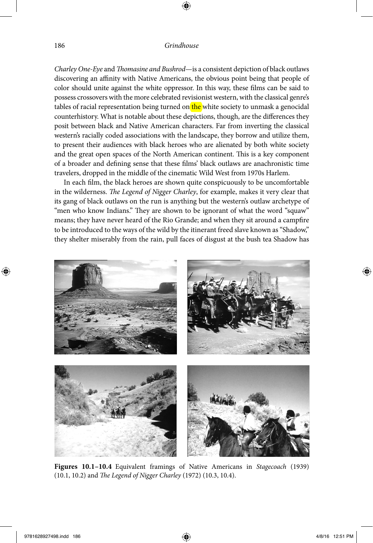*Charley One-Eye* and *Thomasine and Bushrod*—is a consistent depiction of black outlaws discovering an affinity with Native Americans, the obvious point being that people of color should unite against the white oppressor. In this way, these films can be said to possess crossovers with the more celebrated revisionist western, with the classical genre's tables of racial representation being turned on the white society to unmask a genocidal counterhistory. What is notable about these depictions, though, are the differences they posit between black and Native American characters. Far from inverting the classical western's racially coded associations with the landscape, they borrow and utilize them, to present their audiences with black heroes who are alienated by both white society and the great open spaces of the North American continent. This is a key component of a broader and defining sense that these films' black outlaws are anachronistic time travelers, dropped in the middle of the cinematic Wild West from 1970s Harlem.

In each film, the black heroes are shown quite conspicuously to be uncomfortable in the wilderness. *The Legend of Nigger Charley*, for example, makes it very clear that its gang of black outlaws on the run is anything but the western's outlaw archetype of "men who know Indians." They are shown to be ignorant of what the word "squaw" means; they have never heard of the Rio Grande; and when they sit around a campfire to be introduced to the ways of the wild by the itinerant freed slave known as "Shadow," they shelter miserably from the rain, pull faces of disgust at the bush tea Shadow has



**Figures 10.1–10.4** Equivalent framings of Native Americans in *Stagecoach* (1939) (10.1, 10.2) and *The Legend of Nigger Charley* (1972) (10.3, 10.4).

⊕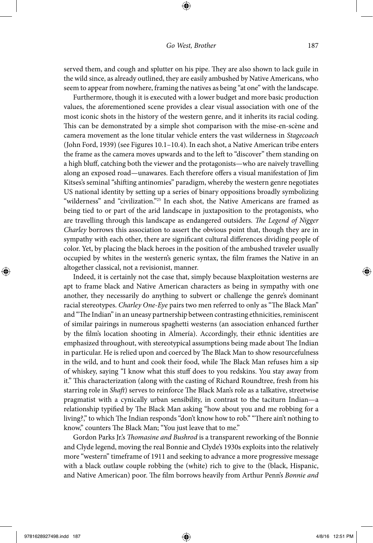⊕

served them, and cough and splutter on his pipe. They are also shown to lack guile in the wild since, as already outlined, they are easily ambushed by Native Americans, who seem to appear from nowhere, framing the natives as being "at one" with the landscape.

Furthermore, though it is executed with a lower budget and more basic production values, the aforementioned scene provides a clear visual association with one of the most iconic shots in the history of the western genre, and it inherits its racial coding. This can be demonstrated by a simple shot comparison with the mise-en-scène and camera movement as the lone titular vehicle enters the vast wilderness in *Stagecoach* (John Ford, 1939) (see Figures 10.1–10.4). In each shot, a Native American tribe enters the frame as the camera moves upwards and to the left to "discover" them standing on a high bluff, catching both the viewer and the protagonists—who are naively travelling along an exposed road—unawares. Each therefore offers a visual manifestation of Jim Kitses's seminal "shifting antinomies" paradigm, whereby the western genre negotiates US national identity by setting up a series of binary oppositions broadly symbolizing "wilderness" and "civilization."25 In each shot, the Native Americans are framed as being tied to or part of the arid landscape in juxtaposition to the protagonists, who are travelling through this landscape as endangered outsiders. *The Legend of Nigger Charley* borrows this association to assert the obvious point that, though they are in sympathy with each other, there are significant cultural differences dividing people of color. Yet, by placing the black heroes in the position of the ambushed traveler usually occupied by whites in the western's generic syntax, the film frames the Native in an altogether classical, not a revisionist, manner.

Indeed, it is certainly not the case that, simply because blaxploitation westerns are apt to frame black and Native American characters as being in sympathy with one another, they necessarily do anything to subvert or challenge the genre's dominant racial stereotypes. *Charley One-Eye* pairs two men referred to only as "The Black Man" and "The Indian" in an uneasy partnership between contrasting ethnicities, reminiscent of similar pairings in numerous spaghetti westerns (an association enhanced further by the film's location shooting in Almería). Accordingly, their ethnic identities are emphasized throughout, with stereotypical assumptions being made about The Indian in particular. He is relied upon and coerced by The Black Man to show resourcefulness in the wild, and to hunt and cook their food, while The Black Man refuses him a sip of whiskey, saying "I know what this stuff does to you redskins. You stay away from it." This characterization (along with the casting of Richard Roundtree, fresh from his starring role in *Shaft*) serves to reinforce The Black Man's role as a talkative, streetwise pragmatist with a cynically urban sensibility, in contrast to the taciturn Indian—a relationship typified by The Black Man asking "how about you and me robbing for a living?," to which The Indian responds "don't know how to rob." "There ain't nothing to know," counters The Black Man; "You just leave that to me."

Gordon Parks Jr.'s *Thomasine and Bushrod* is a transparent reworking of the Bonnie and Clyde legend, moving the real Bonnie and Clyde's 1930s exploits into the relatively more "western" timeframe of 1911 and seeking to advance a more progressive message with a black outlaw couple robbing the (white) rich to give to the (black, Hispanic, and Native American) poor. The film borrows heavily from Arthur Penn's *Bonnie and* 

⊕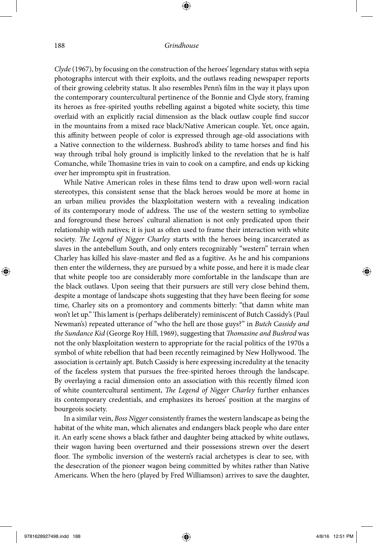⊕

*Clyde* (1967), by focusing on the construction of the heroes' legendary status with sepia photographs intercut with their exploits, and the outlaws reading newspaper reports of their growing celebrity status. It also resembles Penn's film in the way it plays upon the contemporary countercultural pertinence of the Bonnie and Clyde story, framing its heroes as free-spirited youths rebelling against a bigoted white society, this time overlaid with an explicitly racial dimension as the black outlaw couple find succor in the mountains from a mixed race black/Native American couple. Yet, once again, this affinity between people of color is expressed through age-old associations with a Native connection to the wilderness. Bushrod's ability to tame horses and find his way through tribal holy ground is implicitly linked to the revelation that he is half Comanche, while Thomasine tries in vain to cook on a campfire, and ends up kicking over her impromptu spit in frustration.

While Native American roles in these films tend to draw upon well-worn racial stereotypes, this consistent sense that the black heroes would be more at home in an urban milieu provides the blaxploitation western with a revealing indication of its contemporary mode of address. The use of the western setting to symbolize and foreground these heroes' cultural alienation is not only predicated upon their relationship with natives; it is just as often used to frame their interaction with white society. *The Legend of Nigger Charley* starts with the heroes being incarcerated as slaves in the antebellum South, and only enters recognizably "western" terrain when Charley has killed his slave-master and fled as a fugitive. As he and his companions then enter the wilderness, they are pursued by a white posse, and here it is made clear that white people too are considerably more comfortable in the landscape than are the black outlaws. Upon seeing that their pursuers are still very close behind them, despite a montage of landscape shots suggesting that they have been fleeing for some time, Charley sits on a promontory and comments bitterly: "that damn white man won't let up." This lament is (perhaps deliberately) reminiscent of Butch Cassidy's (Paul Newman's) repeated utterance of "who the hell are those guys?" in *Butch Cassidy and the Sundance Kid* (George Roy Hill, 1969), suggesting that *Thomasine and Bushrod* was not the only blaxploitation western to appropriate for the racial politics of the 1970s a symbol of white rebellion that had been recently reimagined by New Hollywood. The association is certainly apt. Butch Cassidy is here expressing incredulity at the tenacity of the faceless system that pursues the free-spirited heroes through the landscape. By overlaying a racial dimension onto an association with this recently filmed icon of white countercultural sentiment, *The Legend of Nigger Charley* further enhances its contemporary credentials, and emphasizes its heroes' position at the margins of bourgeois society.

In a similar vein, *Boss Nigger* consistently frames the western landscape as being the habitat of the white man, which alienates and endangers black people who dare enter it. An early scene shows a black father and daughter being attacked by white outlaws, their wagon having been overturned and their possessions strewn over the desert floor. The symbolic inversion of the western's racial archetypes is clear to see, with the desecration of the pioneer wagon being committed by whites rather than Native Americans. When the hero (played by Fred Williamson) arrives to save the daughter,

⊕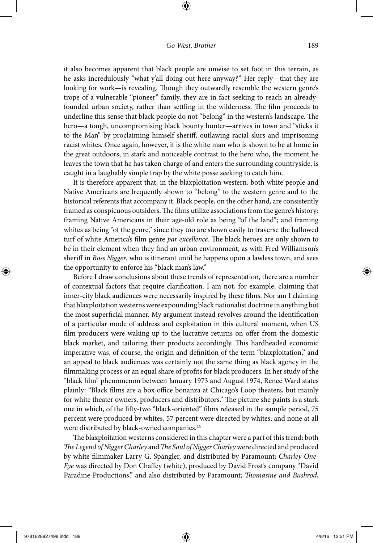⊕

it also becomes apparent that black people are unwise to set foot in this terrain, as he asks incredulously "what y'all doing out here anyway?" Her reply—that they are looking for work—is revealing. Though they outwardly resemble the western genre's trope of a vulnerable "pioneer" family, they are in fact seeking to reach an alreadyfounded urban society, rather than settling in the wilderness. The film proceeds to underline this sense that black people do not "belong" in the western's landscape. The hero—a tough, uncompromising black bounty hunter—arrives in town and "sticks it to the Man" by proclaiming himself sheriff, outlawing racial slurs and imprisoning racist whites. Once again, however, it is the white man who is shown to be at home in the great outdoors, in stark and noticeable contrast to the hero who, the moment he leaves the town that he has taken charge of and enters the surrounding countryside, is caught in a laughably simple trap by the white posse seeking to catch him.

It is therefore apparent that, in the blaxploitation western, both white people and Native Americans are frequently shown to "belong" to the western genre and to the historical referents that accompany it. Black people, on the other hand, are consistently framed as conspicuous outsiders. The films utilize associations from the genre's history: framing Native Americans in their age-old role as being "of the land"; and framing whites as being "of the genre," since they too are shown easily to traverse the hallowed turf of white America's film genre *par excellence*. The black heroes are only shown to be in their element when they find an urban environment, as with Fred Williamson's sheriff in *Boss Nigger*, who is itinerant until he happens upon a lawless town, and sees the opportunity to enforce his "black man's law."

Before I draw conclusions about these trends of representation, there are a number of contextual factors that require clarification. I am not, for example, claiming that inner-city black audiences were necessarily inspired by these films. Nor am I claiming that blaxploitation westerns were expounding black nationalist doctrine in anything but the most superficial manner. My argument instead revolves around the identification of a particular mode of address and exploitation in this cultural moment, when US film producers were waking up to the lucrative returns on offer from the domestic black market, and tailoring their products accordingly. This hardheaded economic imperative was, of course, the origin and definition of the term "blaxploitation," and an appeal to black audiences was certainly not the same thing as black agency in the filmmaking process or an equal share of profits for black producers. In her study of the "black film" phenomenon between January 1973 and August 1974, Reneé Ward states plainly: "Black films are a box office bonanza at Chicago's Loop theaters, but mainly for white theater owners, producers and distributors." The picture she paints is a stark one in which, of the fifty-two "black-oriented" films released in the sample period, 75 percent were produced by whites, 57 percent were directed by whites, and none at all were distributed by black-owned companies.<sup>26</sup>

The blaxploitation westerns considered in this chapter were a part of this trend: both *The Legend of Nigger Charley* and *The Soul of Nigger Charley* were directed and produced by white filmmaker Larry G. Spangler, and distributed by Paramount; *Charley One-Eye* was directed by Don Chaffey (white), produced by David Frost's company "David Paradine Productions," and also distributed by Paramount; *Thomasine and Bushrod*,

⊕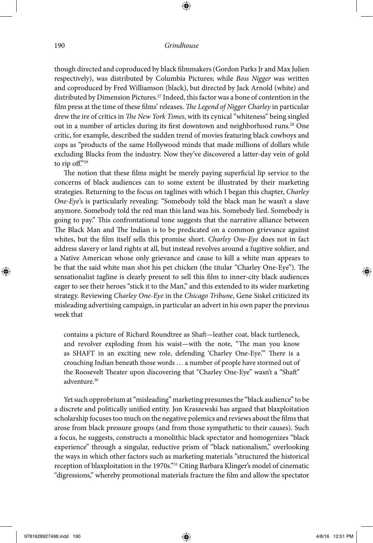⊕

though directed and coproduced by black filmmakers (Gordon Parks Jr and Max Julien respectively), was distributed by Columbia Pictures; while *Boss Nigger* was written and coproduced by Fred Williamson (black), but directed by Jack Arnold (white) and distributed by Dimension Pictures.27 Indeed, this factor was a bone of contention in the film press at the time of these films' releases. *The Legend of Nigger Charley* in particular drew the ire of critics in *The New York Times*, with its cynical "whiteness" being singled out in a number of articles during its first downtown and neighborhood runs.<sup>28</sup> One critic, for example, described the sudden trend of movies featuring black cowboys and cops as "products of the same Hollywood minds that made millions of dollars while excluding Blacks from the industry. Now they've discovered a latter-day vein of gold to rip off."29

The notion that these films might be merely paying superficial lip service to the concerns of black audiences can to some extent be illustrated by their marketing strategies. Returning to the focus on taglines with which I began this chapter, *Charley One-Eye*'s is particularly revealing: "Somebody told the black man he wasn't a slave anymore. Somebody told the red man this land was his. Somebody lied. Somebody is going to pay." This confrontational tone suggests that the narrative alliance between The Black Man and The Indian is to be predicated on a common grievance against whites, but the film itself sells this promise short. *Charley One-Eye* does not in fact address slavery or land rights at all, but instead revolves around a fugitive soldier, and a Native American whose only grievance and cause to kill a white man appears to be that the said white man shot his pet chicken (the titular "Charley One-Eye"). The sensationalist tagline is clearly present to sell this film to inner-city black audiences eager to see their heroes "stick it to the Man," and this extended to its wider marketing strategy. Reviewing *Charley One-Eye* in the *Chicago Tribune*, Gene Siskel criticized its misleading advertising campaign, in particular an advert in his own paper the previous week that

contains a picture of Richard Roundtree as Shaft—leather coat, black turtleneck, and revolver exploding from his waist—with the note, "The man you know as SHAFT in an exciting new role, defending 'Charley One-Eye.'" There is a crouching Indian beneath those words … a number of people have stormed out of the Roosevelt Theater upon discovering that "Charley One-Eye" wasn't a "Shaft" adventure.30

Yet such opprobrium at "misleading" marketing presumes the "black audience" to be a discrete and politically unified entity. Jon Kraszewski has argued that blaxploitation scholarship focuses too much on the negative polemics and reviews about the films that arose from black pressure groups (and from those sympathetic to their causes). Such a focus, he suggests, constructs a monolithic black spectator and homogenizes "black experience" through a singular, reductive prism of "black nationalism," overlooking the ways in which other factors such as marketing materials "structured the historical reception of blaxploitation in the 1970s."31 Citing Barbara Klinger's model of cinematic "digressions," whereby promotional materials fracture the film and allow the spectator

⊕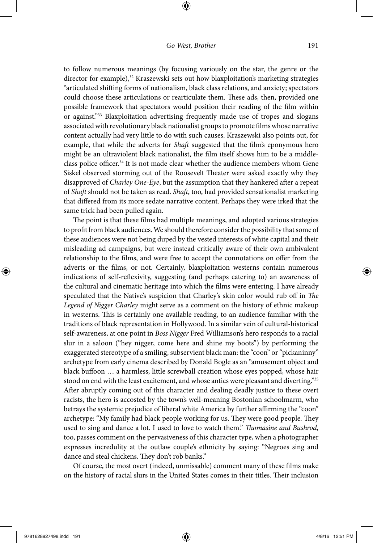⊕

to follow numerous meanings (by focusing variously on the star, the genre or the director for example),<sup>32</sup> Kraszewski sets out how blaxploitation's marketing strategies "articulated shifting forms of nationalism, black class relations, and anxiety; spectators could choose these articulations or rearticulate them. These ads, then, provided one possible framework that spectators would position their reading of the film within or against."33 Blaxploitation advertising frequently made use of tropes and slogans associated with revolutionary black nationalist groups to promote films whose narrative content actually had very little to do with such causes. Kraszewski also points out, for example, that while the adverts for *Shaft* suggested that the film's eponymous hero might be an ultraviolent black nationalist, the film itself shows him to be a middleclass police officer.<sup>34</sup> It is not made clear whether the audience members whom Gene Siskel observed storming out of the Roosevelt Theater were asked exactly why they disapproved of *Charley One-Eye*, but the assumption that they hankered after a repeat of *Shaft* should not be taken as read. *Shaft*, too, had provided sensationalist marketing that differed from its more sedate narrative content. Perhaps they were irked that the same trick had been pulled again.

The point is that these films had multiple meanings, and adopted various strategies to profit from black audiences. We should therefore consider the possibility that some of these audiences were not being duped by the vested interests of white capital and their misleading ad campaigns, but were instead critically aware of their own ambivalent relationship to the films, and were free to accept the connotations on offer from the adverts or the films, or not. Certainly, blaxploitation westerns contain numerous indications of self-reflexivity, suggesting (and perhaps catering to) an awareness of the cultural and cinematic heritage into which the films were entering. I have already speculated that the Native's suspicion that Charley's skin color would rub off in *The Legend of Nigger Charley* might serve as a comment on the history of ethnic makeup in westerns. This is certainly one available reading, to an audience familiar with the traditions of black representation in Hollywood. In a similar vein of cultural-historical self-awareness, at one point in *Boss Nigger* Fred Williamson's hero responds to a racial slur in a saloon ("hey nigger, come here and shine my boots") by performing the exaggerated stereotype of a smiling, subservient black man: the "coon" or "pickaninny" archetype from early cinema described by Donald Bogle as an "amusement object and black buffoon … a harmless, little screwball creation whose eyes popped, whose hair stood on end with the least excitement, and whose antics were pleasant and diverting."<sup>35</sup> After abruptly coming out of this character and dealing deadly justice to these overt racists, the hero is accosted by the town's well-meaning Bostonian schoolmarm, who betrays the systemic prejudice of liberal white America by further affirming the "coon" archetype: "My family had black people working for us. They were good people. They used to sing and dance a lot. I used to love to watch them." *Thomasine and Bushrod*, too, passes comment on the pervasiveness of this character type, when a photographer expresses incredulity at the outlaw couple's ethnicity by saying: "Negroes sing and dance and steal chickens. They don't rob banks."

Of course, the most overt (indeed, unmissable) comment many of these films make on the history of racial slurs in the United States comes in their titles. Their inclusion

 $\bigoplus$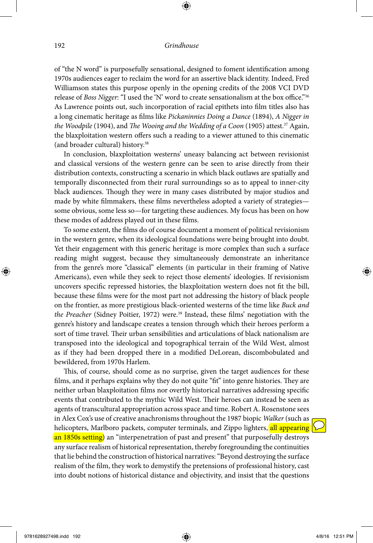⊕

of "the N word" is purposefully sensational, designed to foment identification among 1970s audiences eager to reclaim the word for an assertive black identity. Indeed, Fred Williamson states this purpose openly in the opening credits of the 2008 VCI DVD release of *Boss Nigger*: "I used the 'N' word to create sensationalism at the box office."36 As Lawrence points out, such incorporation of racial epithets into film titles also has a long cinematic heritage as films like *Pickaninnies Doing a Dance* (1894), *A Nigger in the Woodpile* (1904), and *The Wooing and the Wedding of a Coon* (1905) attest.37 Again, the blaxploitation western offers such a reading to a viewer attuned to this cinematic (and broader cultural) history.38

In conclusion, blaxploitation westerns' uneasy balancing act between revisionist and classical versions of the western genre can be seen to arise directly from their distribution contexts, constructing a scenario in which black outlaws are spatially and temporally disconnected from their rural surroundings so as to appeal to inner-city black audiences. Though they were in many cases distributed by major studios and made by white filmmakers, these films nevertheless adopted a variety of strategies some obvious, some less so—for targeting these audiences. My focus has been on how these modes of address played out in these films.

To some extent, the films do of course document a moment of political revisionism in the western genre, when its ideological foundations were being brought into doubt. Yet their engagement with this generic heritage is more complex than such a surface reading might suggest, because they simultaneously demonstrate an inheritance from the genre's more "classical" elements (in particular in their framing of Native Americans), even while they seek to reject those elements' ideologies. If revisionism uncovers specific repressed histories, the blaxploitation western does not fit the bill, because these films were for the most part not addressing the history of black people on the frontier, as more prestigious black-oriented westerns of the time like *Buck and the Preacher* (Sidney Poitier, 1972) were.<sup>39</sup> Instead, these films' negotiation with the genre's history and landscape creates a tension through which their heroes perform a sort of time travel. Their urban sensibilities and articulations of black nationalism are transposed into the ideological and topographical terrain of the Wild West, almost as if they had been dropped there in a modified DeLorean, discombobulated and bewildered, from 1970s Harlem.

This, of course, should come as no surprise, given the target audiences for these films, and it perhaps explains why they do not quite "fit" into genre histories. They are neither urban blaxploitation films nor overtly historical narratives addressing specific events that contributed to the mythic Wild West. Their heroes can instead be seen as agents of transcultural appropriation across space and time. Robert A. Rosenstone sees in Alex Cox's use of creative anachronisms throughout the 1987 biopic *Walker* (such as helicopters, Marlboro packets, computer terminals, and Zippo lighters, all appearing an 1850s setting) an "interpenetration of past and present" that purposefully destroys any surface realism of historical representation, thereby foregrounding the continuities that lie behind the construction of historical narratives: "Beyond destroying the surface realism of the film, they work to demystify the pretensions of professional history, cast into doubt notions of historical distance and objectivity, and insist that the questions

⊕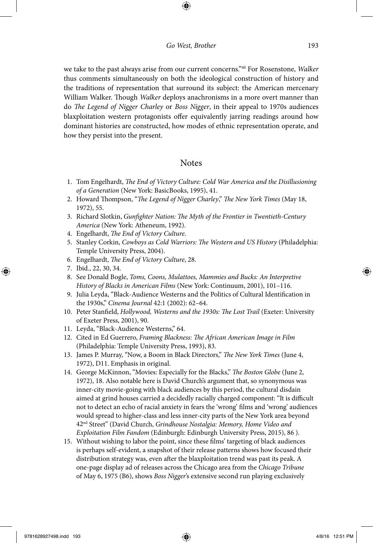⊕

we take to the past always arise from our current concerns."40 For Rosenstone, *Walker* thus comments simultaneously on both the ideological construction of history and the traditions of representation that surround its subject: the American mercenary William Walker. Though *Walker* deploys anachronisms in a more overt manner than do *The Legend of Nigger Charley* or *Boss Nigger*, in their appeal to 1970s audiences blaxploitation western protagonists offer equivalently jarring readings around how dominant histories are constructed, how modes of ethnic representation operate, and how they persist into the present.

# **Notes**

- 1. Tom Engelhardt, *The End of Victory Culture: Cold War America and the Disillusioning of a Generation* (New York: BasicBooks, 1995), 41.
- 2. Howard Thompson, "*The Legend of Nigger Charley*," *The New York Times* (May 18, 1972), 55.
- 3. Richard Slotkin, *Gunfighter Nation: The Myth of the Frontier in Twentieth-Century America* (New York: Atheneum, 1992).
- 4. Engelhardt, *The End of Victory Culture*.
- 5. Stanley Corkin, *Cowboys as Cold Warriors: The Western and US History* (Philadelphia: Temple University Press, 2004).
- 6. Engelhardt, *The End of Victory Culture*, 28.
- 7. Ibid., 22, 30, 34.

⊕

- 8. See Donald Bogle, *Toms, Coons, Mulattoes, Mammies and Bucks: An Interpretive History of Blacks in American Films* (New York: Continuum, 2001), 101–116.
- 9. Julia Leyda, "Black-Audience Westerns and the Politics of Cultural Identification in the 1930s," *Cinema Journal* 42:1 (2002): 62–64.
- 10. Peter Stanfield, *Hollywood, Westerns and the 1930s: The Lost Trail* (Exeter: University of Exeter Press, 2001), 90.
- 11. Leyda, "Black-Audience Westerns," 64.
- 12. Cited in Ed Guerrero, *Framing Blackness: The African American Image in Film* (Philadelphia: Temple University Press, 1993), 83.
- 13. James P. Murray, "Now, a Boom in Black Directors," *The New York Times* (June 4, 1972), D11. Emphasis in original.
- 14. George McKinnon, "Movies: Especially for the Blacks," *The Boston Globe* (June 2, 1972), 18. Also notable here is David Church's argument that, so synonymous was inner-city movie-going with black audiences by this period, the cultural disdain aimed at grind houses carried a decidedly racially charged component: "It is difficult not to detect an echo of racial anxiety in fears the 'wrong' films and 'wrong' audiences would spread to higher-class and less inner-city parts of the New York area beyond 42nd Street" (David Church, *Grindhouse Nostalgia: Memory, Home Video and Exploitation Film Fandom* (Edinburgh: Edinburgh University Press, 2015), 86 ).
- 15. Without wishing to labor the point, since these films' targeting of black audiences is perhaps self-evident, a snapshot of their release patterns shows how focused their distribution strategy was, even after the blaxploitation trend was past its peak. A one-page display ad of releases across the Chicago area from the *Chicago Tribune* of May 6, 1975 (B6), shows *Boss Nigger*'s extensive second run playing exclusively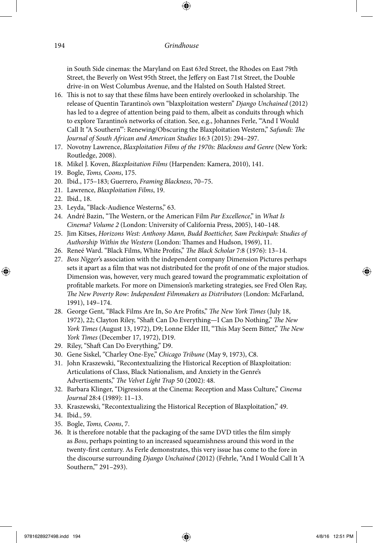⊕

in South Side cinemas: the Maryland on East 63rd Street, the Rhodes on East 79th Street, the Beverly on West 95th Street, the Jeffery on East 71st Street, the Double drive-in on West Columbus Avenue, and the Halsted on South Halsted Street.

- 16. This is not to say that these films have been entirely overlooked in scholarship. The release of Quentin Tarantino's own "blaxploitation western" *Django Unchained* (2012) has led to a degree of attention being paid to them, albeit as conduits through which to explore Tarantino's networks of citation. See, e.g., Johannes Ferle, "'And I Would Call It "A Southern"': Renewing/Obscuring the Blaxploitation Western," *Safundi: The Journal of South African and American Studies* 16:3 (2015): 294–297.
- 17. Novotny Lawrence, *Blaxploitation Films of the 1970s: Blackness and Genre* (New York: Routledge, 2008).
- 18. Mikel J. Koven, *Blaxploitation Films* (Harpenden: Kamera, 2010), 141.
- 19. Bogle, *Toms, Coons*, 175.
- 20. Ibid., 175–183; Guerrero, *Framing Blackness*, 70–75.
- 21. Lawrence, *Blaxploitation Films*, 19.
- 22. Ibid., 18.

⊕

- 23. Leyda, "Black-Audience Westerns," 63.
- 24. André Bazin, "The Western, or the American Film *Par Excellence*," in *What Is Cinema? Volume 2* (London: University of California Press, 2005), 140–148.
- 25. Jim Kitses, *Horizons West: Anthony Mann, Budd Boetticher, Sam Peckinpah: Studies of Authorship Within the Western* (London: Thames and Hudson, 1969), 11.
- 26. Reneé Ward. "Black Films, White Profits," *The Black Scholar* 7:8 (1976): 13–14.
- 27. *Boss Nigger*'s association with the independent company Dimension Pictures perhaps sets it apart as a film that was not distributed for the profit of one of the major studios. Dimension was, however, very much geared toward the programmatic exploitation of profitable markets. For more on Dimension's marketing strategies, see Fred Olen Ray, *The New Poverty Row: Independent Filmmakers as Distributors* (London: McFarland, 1991), 149–174.
- 28. George Gent, "Black Films Are In, So Are Profits," *The New York Times* (July 18, 1972), 22; Clayton Riley, "Shaft Can Do Everything—I Can Do Nothing," *The New York Times* (August 13, 1972), D9; Lonne Elder III, "This May Seem Bitter," *The New York Times* (December 17, 1972), D19.
- 29. Riley, "Shaft Can Do Everything," D9.
- 30. Gene Siskel, "Charley One-Eye," *Chicago Tribune* (May 9, 1973), C8.
- 31. John Kraszewski, "Recontextualizing the Historical Reception of Blaxploitation: Articulations of Class, Black Nationalism, and Anxiety in the Genre's Advertisements," *The Velvet Light Trap* 50 (2002): 48.
- 32. Barbara Klinger, "Digressions at the Cinema: Reception and Mass Culture," *Cinema Journal* 28:4 (1989): 11–13.
- 33. Kraszewski, "Recontextualizing the Historical Reception of Blaxploitation," 49.
- 34. Ibid., 59.
- 35. Bogle, *Toms, Coons*, 7.
- 36. It is therefore notable that the packaging of the same DVD titles the film simply as *Boss*, perhaps pointing to an increased squeamishness around this word in the twenty-first century. As Ferle demonstrates, this very issue has come to the fore in the discourse surrounding *Django Unchained* (2012) (Fehrle, "And I Would Call It 'A Southern," 291-293).

↔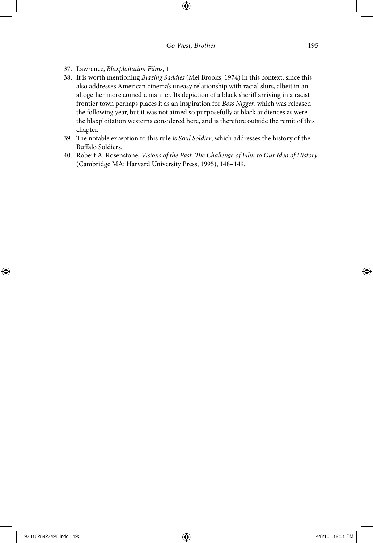$\bigoplus$ 

- 37. Lawrence, *Blaxploitation Films*, 1.
- 38. It is worth mentioning *Blazing Saddles* (Mel Brooks, 1974) in this context, since this also addresses American cinema's uneasy relationship with racial slurs, albeit in an altogether more comedic manner. Its depiction of a black sheriff arriving in a racist frontier town perhaps places it as an inspiration for *Boss Nigger*, which was released the following year, but it was not aimed so purposefully at black audiences as were the blaxploitation westerns considered here, and is therefore outside the remit of this chapter.
- 39. The notable exception to this rule is *Soul Soldier*, which addresses the history of the Buffalo Soldiers.
- 40. Robert A. Rosenstone, *Visions of the Past: The Challenge of Film to Our Idea of History* (Cambridge MA: Harvard University Press, 1995), 148–149.

⊕